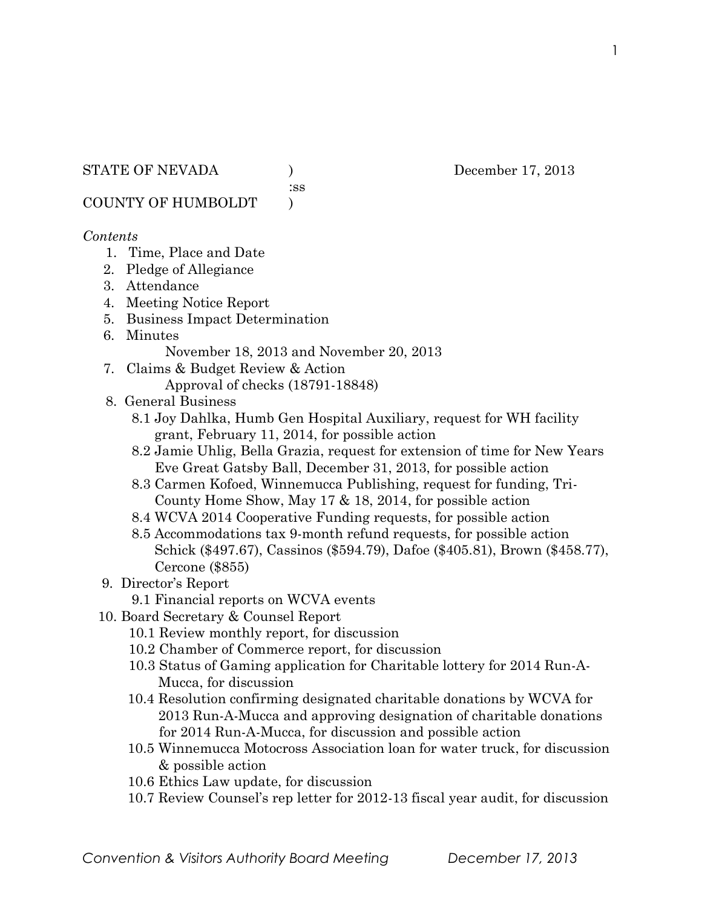:ss

COUNTY OF HUMBOLDT )

#### *Contents*

- 1. Time, Place and Date
- 2. Pledge of Allegiance
- 3. Attendance
- 4. Meeting Notice Report
- 5. Business Impact Determination
- 6. Minutes

November 18, 2013 and November 20, 2013

- 7. Claims & Budget Review & Action Approval of checks (18791-18848)
- 8. General Business
	- 8.1 Joy Dahlka, Humb Gen Hospital Auxiliary, request for WH facility grant, February 11, 2014, for possible action
	- 8.2 Jamie Uhlig, Bella Grazia, request for extension of time for New Years Eve Great Gatsby Ball, December 31, 2013, for possible action
	- 8.3 Carmen Kofoed, Winnemucca Publishing, request for funding, Tri- County Home Show, May 17 & 18, 2014, for possible action
	- 8.4 WCVA 2014 Cooperative Funding requests, for possible action
	- 8.5 Accommodations tax 9-month refund requests, for possible action Schick (\$497.67), Cassinos (\$594.79), Dafoe (\$405.81), Brown (\$458.77), Cercone (\$855)
- 9. Director's Report
	- 9.1 Financial reports on WCVA events
- 10. Board Secretary & Counsel Report
	- 10.1 Review monthly report, for discussion
	- 10.2 Chamber of Commerce report, for discussion
	- 10.3 Status of Gaming application for Charitable lottery for 2014 Run-A- Mucca, for discussion
	- 10.4 Resolution confirming designated charitable donations by WCVA for 2013 Run-A-Mucca and approving designation of charitable donations for 2014 Run-A-Mucca, for discussion and possible action
	- 10.5 Winnemucca Motocross Association loan for water truck, for discussion & possible action
	- 10.6 Ethics Law update, for discussion
	- 10.7 Review Counsel's rep letter for 2012-13 fiscal year audit, for discussion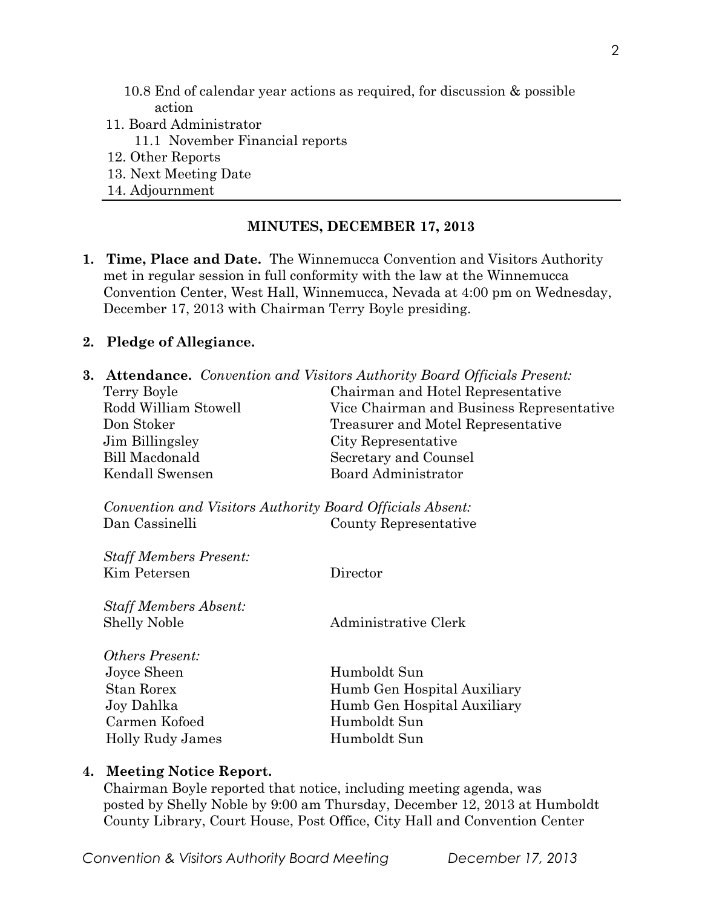- 10.8 End of calendar year actions as required, for discussion & possible action
- 11. Board Administrator
	- 11.1 November Financial reports
- 12. Other Reports
- 13. Next Meeting Date
- 14. Adjournment

#### **MINUTES, DECEMBER 17, 2013**

**1. Time, Place and Date.** The Winnemucca Convention and Visitors Authority met in regular session in full conformity with the law at the Winnemucca Convention Center, West Hall, Winnemucca, Nevada at 4:00 pm on Wednesday, December 17, 2013 with Chairman Terry Boyle presiding.

#### **2. Pledge of Allegiance.**

| <b>3. Attendance.</b> Convention and Visitors Authority Board Officials Present: |                                           |  |
|----------------------------------------------------------------------------------|-------------------------------------------|--|
| Terry Boyle                                                                      | Chairman and Hotel Representative         |  |
| Rodd William Stowell                                                             | Vice Chairman and Business Representative |  |
| Don Stoker                                                                       | Treasurer and Motel Representative        |  |
| Jim Billingsley                                                                  | City Representative                       |  |
| <b>Bill Macdonald</b>                                                            | Secretary and Counsel                     |  |
| Kendall Swensen                                                                  | Board Administrator                       |  |
| Convention and Visitors Authority Board Officials Absent:                        |                                           |  |
| Dan Cassinelli                                                                   | County Representative                     |  |
| <b>Staff Members Present:</b>                                                    |                                           |  |
| Kim Petersen                                                                     | Director                                  |  |
| <b>Staff Members Absent:</b>                                                     |                                           |  |
| <b>Shelly Noble</b>                                                              | Administrative Clerk                      |  |
| Others Present:                                                                  |                                           |  |
| Joyce Sheen                                                                      | Humboldt Sun                              |  |
| <b>Stan Rorex</b>                                                                | Humb Gen Hospital Auxiliary               |  |
| Joy Dahlka                                                                       | Humb Gen Hospital Auxiliary               |  |
| Carmen Kofoed                                                                    | Humboldt Sun                              |  |
| Holly Rudy James                                                                 | Humboldt Sun                              |  |

#### **4. Meeting Notice Report.**

Chairman Boyle reported that notice, including meeting agenda, was posted by Shelly Noble by 9:00 am Thursday, December 12, 2013 at Humboldt County Library, Court House, Post Office, City Hall and Convention Center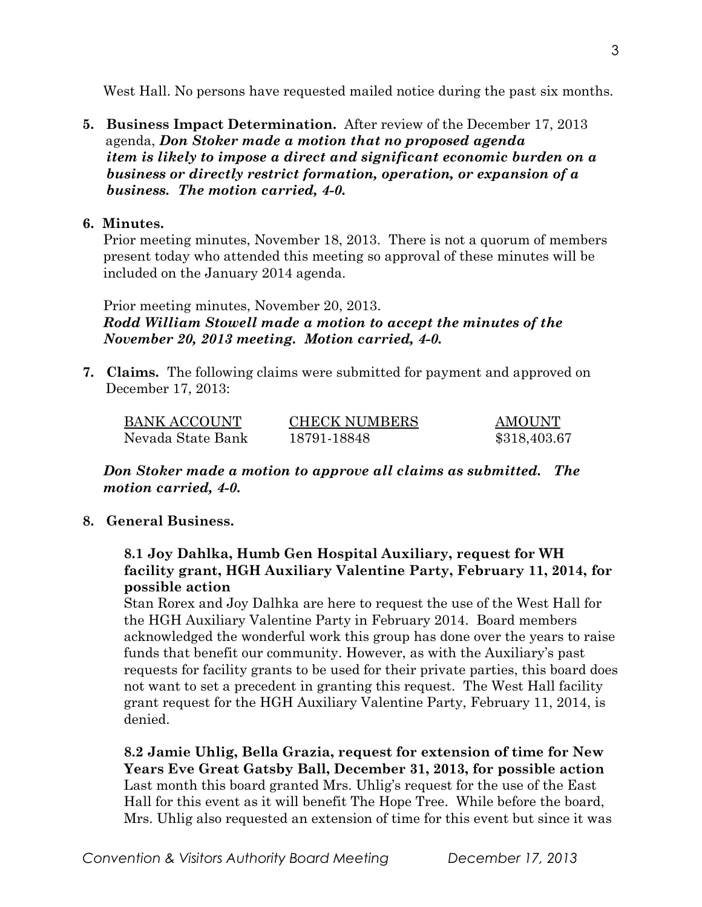West Hall. No persons have requested mailed notice during the past six months.

**5. Business Impact Determination.** After review of the December 17, 2013 agenda, *Don Stoker made a motion that no proposed agenda item is likely to impose a direct and significant economic burden on a business or directly restrict formation, operation, or expansion of a business. The motion carried, 4-0.* 

## **6. Minutes.**

Prior meeting minutes, November 18, 2013. There is not a quorum of members present today who attended this meeting so approval of these minutes will be included on the January 2014 agenda.

Prior meeting minutes, November 20, 2013. *Rodd William Stowell made a motion to accept the minutes of the November 20, 2013 meeting. Motion carried, 4-0.* 

**7. Claims.** The following claims were submitted for payment and approved on December 17, 2013:

| <b>BANK ACCOUNT</b> | <b>CHECK NUMBERS</b> | <b>AMOUNT</b> |
|---------------------|----------------------|---------------|
| Nevada State Bank   | 18791-18848          | \$318,403.67  |

*Don Stoker made a motion to approve all claims as submitted. The motion carried, 4-0.*

## **8. General Business.**

# **8.1 Joy Dahlka, Humb Gen Hospital Auxiliary, request for WH facility grant, HGH Auxiliary Valentine Party, February 11, 2014, for possible action**

Stan Rorex and Joy Dalhka are here to request the use of the West Hall for the HGH Auxiliary Valentine Party in February 2014. Board members acknowledged the wonderful work this group has done over the years to raise funds that benefit our community. However, as with the Auxiliary's past requests for facility grants to be used for their private parties, this board does not want to set a precedent in granting this request. The West Hall facility grant request for the HGH Auxiliary Valentine Party, February 11, 2014, is denied.

 **8.2 Jamie Uhlig, Bella Grazia, request for extension of time for New Years Eve Great Gatsby Ball, December 31, 2013, for possible action** Last month this board granted Mrs. Uhlig's request for the use of the East Hall for this event as it will benefit The Hope Tree. While before the board, Mrs. Uhlig also requested an extension of time for this event but since it was

3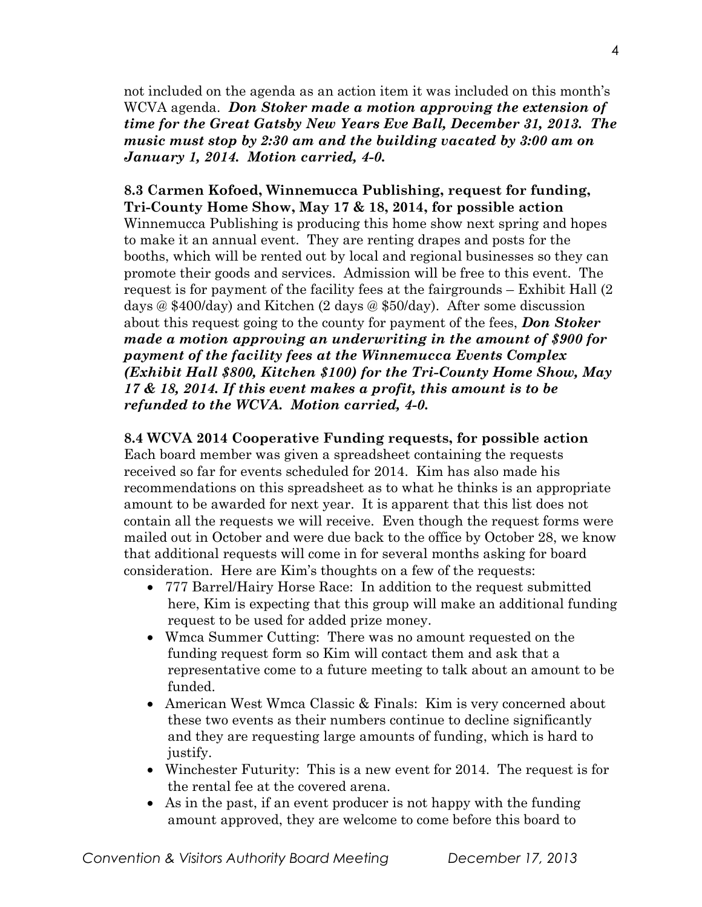not included on the agenda as an action item it was included on this month's WCVA agenda. *Don Stoker made a motion approving the extension of time for the Great Gatsby New Years Eve Ball, December 31, 2013. The music must stop by 2:30 am and the building vacated by 3:00 am on January 1, 2014. Motion carried, 4-0.* 

# **8.3 Carmen Kofoed, Winnemucca Publishing, request for funding, Tri-County Home Show, May 17 & 18, 2014, for possible action**

Winnemucca Publishing is producing this home show next spring and hopes to make it an annual event. They are renting drapes and posts for the booths, which will be rented out by local and regional businesses so they can promote their goods and services. Admission will be free to this event. The request is for payment of the facility fees at the fairgrounds – Exhibit Hall (2 days @ \$400/day) and Kitchen (2 days @ \$50/day). After some discussion about this request going to the county for payment of the fees, *Don Stoker made a motion approving an underwriting in the amount of \$900 for payment of the facility fees at the Winnemucca Events Complex (Exhibit Hall \$800, Kitchen \$100) for the Tri-County Home Show, May 17 & 18, 2014. If this event makes a profit, this amount is to be refunded to the WCVA. Motion carried, 4-0.*

#### **8.4 WCVA 2014 Cooperative Funding requests, for possible action**

Each board member was given a spreadsheet containing the requests received so far for events scheduled for 2014. Kim has also made his recommendations on this spreadsheet as to what he thinks is an appropriate amount to be awarded for next year. It is apparent that this list does not contain all the requests we will receive. Even though the request forms were mailed out in October and were due back to the office by October 28, we know that additional requests will come in for several months asking for board consideration. Here are Kim's thoughts on a few of the requests:

- 777 Barrel/Hairy Horse Race: In addition to the request submitted here, Kim is expecting that this group will make an additional funding request to be used for added prize money.
- Wmca Summer Cutting: There was no amount requested on the funding request form so Kim will contact them and ask that a representative come to a future meeting to talk about an amount to be funded.
- American West Wmca Classic & Finals: Kim is very concerned about these two events as their numbers continue to decline significantly and they are requesting large amounts of funding, which is hard to justify.
- Winchester Futurity: This is a new event for 2014. The request is for the rental fee at the covered arena.
- As in the past, if an event producer is not happy with the funding amount approved, they are welcome to come before this board to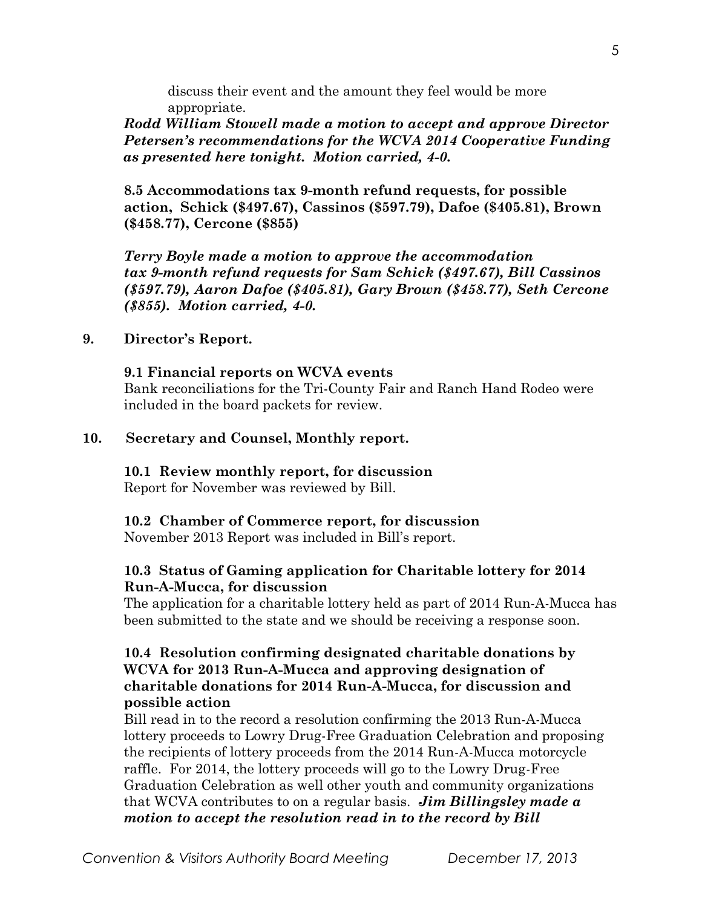discuss their event and the amount they feel would be more appropriate.

*Rodd William Stowell made a motion to accept and approve Director Petersen's recommendations for the WCVA 2014 Cooperative Funding as presented here tonight. Motion carried, 4-0.* 

**8.5 Accommodations tax 9-month refund requests, for possible action, Schick (\$497.67), Cassinos (\$597.79), Dafoe (\$405.81), Brown (\$458.77), Cercone (\$855)**

*Terry Boyle made a motion to approve the accommodation tax 9-month refund requests for Sam Schick (\$497.67), Bill Cassinos (\$597.79), Aaron Dafoe (\$405.81), Gary Brown (\$458.77), Seth Cercone (\$855). Motion carried, 4-0.*

#### **9. Director's Report.**

#### **9.1 Financial reports on WCVA events**

Bank reconciliations for the Tri-County Fair and Ranch Hand Rodeo were included in the board packets for review.

#### **10. Secretary and Counsel, Monthly report.**

#### **10.1 Review monthly report, for discussion**

Report for November was reviewed by Bill.

#### **10.2 Chamber of Commerce report, for discussion**

November 2013 Report was included in Bill's report.

## **10.3 Status of Gaming application for Charitable lottery for 2014 Run-A-Mucca, for discussion**

The application for a charitable lottery held as part of 2014 Run-A-Mucca has been submitted to the state and we should be receiving a response soon.

#### **10.4 Resolution confirming designated charitable donations by WCVA for 2013 Run-A-Mucca and approving designation of charitable donations for 2014 Run-A-Mucca, for discussion and possible action**

Bill read in to the record a resolution confirming the 2013 Run-A-Mucca lottery proceeds to Lowry Drug-Free Graduation Celebration and proposing the recipients of lottery proceeds from the 2014 Run-A-Mucca motorcycle raffle. For 2014, the lottery proceeds will go to the Lowry Drug-Free Graduation Celebration as well other youth and community organizations that WCVA contributes to on a regular basis. *Jim Billingsley made a motion to accept the resolution read in to the record by Bill*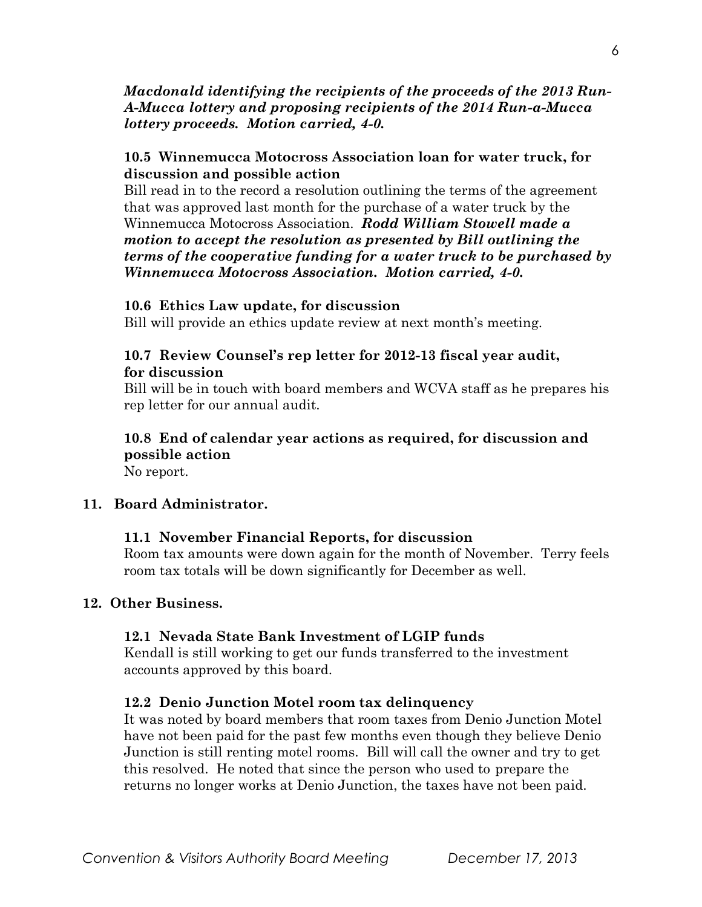## *Macdonald identifying the recipients of the proceeds of the 2013 Run-A-Mucca lottery and proposing recipients of the 2014 Run-a-Mucca lottery proceeds. Motion carried, 4-0.*

## **10.5 Winnemucca Motocross Association loan for water truck, for discussion and possible action**

 Bill read in to the record a resolution outlining the terms of the agreement that was approved last month for the purchase of a water truck by the Winnemucca Motocross Association. *Rodd William Stowell made a motion to accept the resolution as presented by Bill outlining the terms of the cooperative funding for a water truck to be purchased by Winnemucca Motocross Association. Motion carried, 4-0.* 

## **10.6 Ethics Law update, for discussion**

Bill will provide an ethics update review at next month's meeting.

## **10.7 Review Counsel's rep letter for 2012-13 fiscal year audit, for discussion**

Bill will be in touch with board members and WCVA staff as he prepares his rep letter for our annual audit.

# **10.8 End of calendar year actions as required, for discussion and possible action**

No report.

## **11. Board Administrator.**

## **11.1 November Financial Reports, for discussion**

Room tax amounts were down again for the month of November. Terry feels room tax totals will be down significantly for December as well.

## **12. Other Business.**

## **12.1 Nevada State Bank Investment of LGIP funds**

Kendall is still working to get our funds transferred to the investment accounts approved by this board.

## **12.2 Denio Junction Motel room tax delinquency**

It was noted by board members that room taxes from Denio Junction Motel have not been paid for the past few months even though they believe Denio Junction is still renting motel rooms. Bill will call the owner and try to get this resolved. He noted that since the person who used to prepare the returns no longer works at Denio Junction, the taxes have not been paid.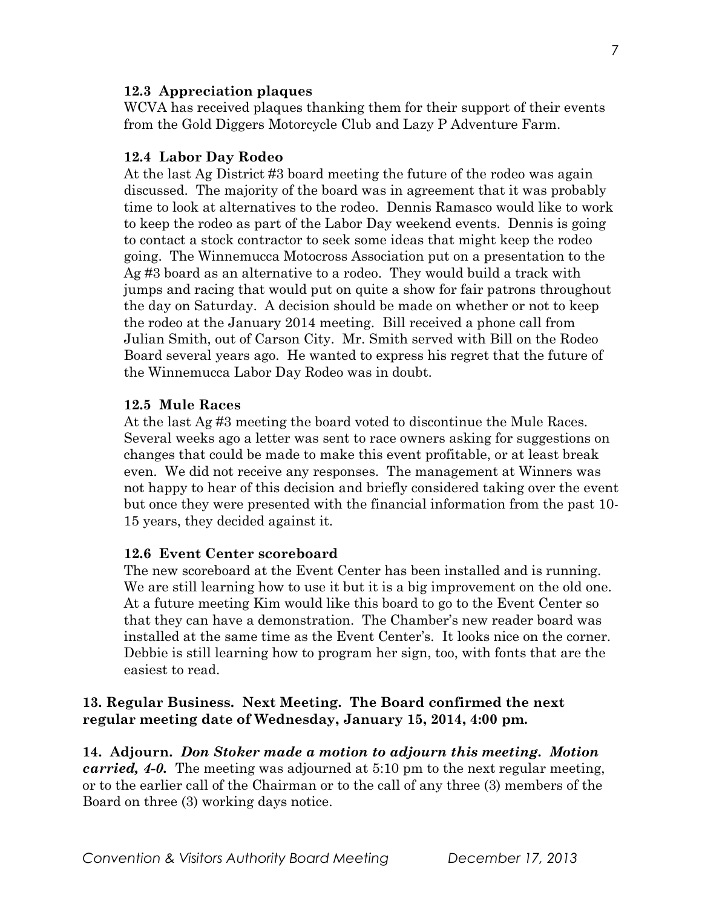#### **12.3 Appreciation plaques**

WCVA has received plaques thanking them for their support of their events from the Gold Diggers Motorcycle Club and Lazy P Adventure Farm.

## **12.4 Labor Day Rodeo**

At the last Ag District #3 board meeting the future of the rodeo was again discussed. The majority of the board was in agreement that it was probably time to look at alternatives to the rodeo. Dennis Ramasco would like to work to keep the rodeo as part of the Labor Day weekend events. Dennis is going to contact a stock contractor to seek some ideas that might keep the rodeo going. The Winnemucca Motocross Association put on a presentation to the Ag #3 board as an alternative to a rodeo. They would build a track with jumps and racing that would put on quite a show for fair patrons throughout the day on Saturday. A decision should be made on whether or not to keep the rodeo at the January 2014 meeting. Bill received a phone call from Julian Smith, out of Carson City. Mr. Smith served with Bill on the Rodeo Board several years ago. He wanted to express his regret that the future of the Winnemucca Labor Day Rodeo was in doubt.

#### **12.5 Mule Races**

At the last Ag #3 meeting the board voted to discontinue the Mule Races. Several weeks ago a letter was sent to race owners asking for suggestions on changes that could be made to make this event profitable, or at least break even. We did not receive any responses. The management at Winners was not happy to hear of this decision and briefly considered taking over the event but once they were presented with the financial information from the past 10- 15 years, they decided against it.

#### **12.6 Event Center scoreboard**

The new scoreboard at the Event Center has been installed and is running. We are still learning how to use it but it is a big improvement on the old one. At a future meeting Kim would like this board to go to the Event Center so that they can have a demonstration. The Chamber's new reader board was installed at the same time as the Event Center's. It looks nice on the corner. Debbie is still learning how to program her sign, too, with fonts that are the easiest to read.

## **13. Regular Business. Next Meeting. The Board confirmed the next regular meeting date of Wednesday, January 15, 2014, 4:00 pm.**

**14. Adjourn.** *Don Stoker made a motion to adjourn this meeting. Motion carried, 4-0.* The meeting was adjourned at 5:10 pm to the next regular meeting, or to the earlier call of the Chairman or to the call of any three (3) members of the Board on three (3) working days notice.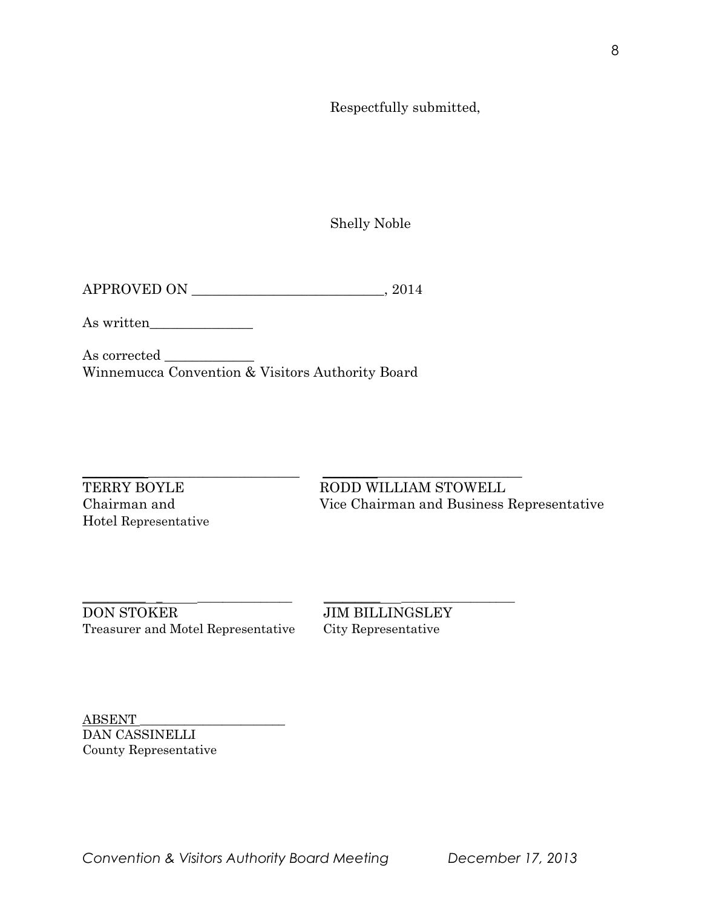Respectfully submitted,

Shelly Noble

APPROVED ON \_\_\_\_\_\_\_\_\_\_\_\_\_\_\_\_\_\_\_\_\_\_\_\_\_\_\_\_, 2014

As written\_\_\_\_\_\_\_\_\_\_\_\_\_\_\_

As corrected \_\_\_\_\_\_\_\_\_\_\_\_\_ Winnemucca Convention & Visitors Authority Board

 $\_$  ,  $\_$  ,  $\_$  ,  $\_$  ,  $\_$  ,  $\_$  ,  $\_$  ,  $\_$  ,  $\_$  ,  $\_$  ,  $\_$  ,  $\_$  ,  $\_$  ,  $\_$  ,  $\_$  ,  $\_$  ,  $\_$  ,  $\_$  ,  $\_$  ,  $\_$  ,  $\_$  ,  $\_$  ,  $\_$  ,  $\_$  ,  $\_$  ,  $\_$  ,  $\_$  ,  $\_$  ,  $\_$  ,  $\_$  ,  $\_$  ,  $\_$  ,  $\_$  ,  $\_$  ,  $\_$  ,  $\_$  ,  $\_$  ,

Hotel Representative

TERRY BOYLE RODD WILLIAM STOWELL Chairman and Vice Chairman and Business Representative

\_\_\_\_\_\_\_\_\_\_ \_ \_\_\_\_\_\_\_\_\_\_\_\_\_\_\_ \_\_\_\_\_\_\_\_\_ \_\_\_\_\_\_\_\_\_\_\_\_\_\_\_\_\_\_ DON STOKER JIM BILLINGSLEY Treasurer and Motel Representative City Representative

ABSENT \_\_\_\_\_\_\_\_\_\_\_\_\_\_\_\_\_\_\_\_\_\_\_ DAN CASSINELLI County Representative